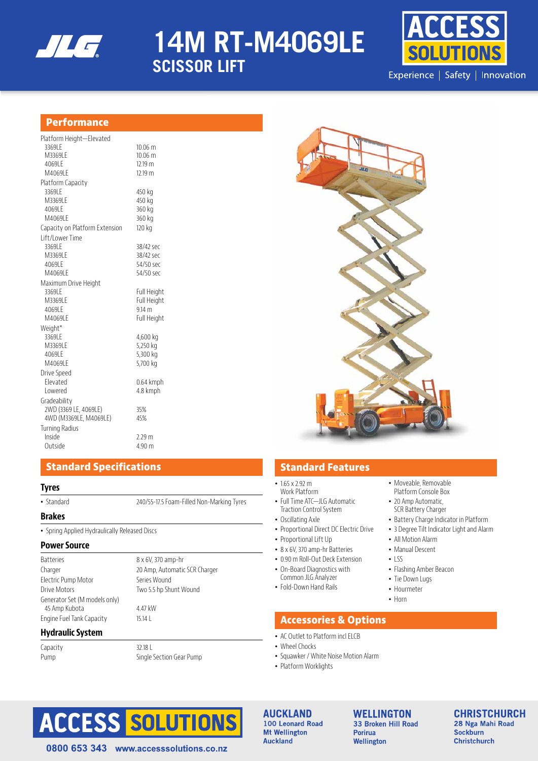

**14M RT-M4069LE SCISSOR LIFT**



# **Performance**

| Platform Height-Elevated       |                    |
|--------------------------------|--------------------|
| 3369IF                         | $10.06 \text{ m}$  |
| M3369LE                        | 10.06 m            |
| 4069LE                         | 12.19 m            |
| M4069LE                        | 12.19 m            |
| Platform Capacity              |                    |
| 3369LE                         | 450 kg             |
| M3369LE                        | 450 kg             |
| 4069LE                         | 360 kg             |
| M4069LE                        | 360 kg             |
| Capacity on Platform Extension | 120 kg             |
| I ift/I ower Time              |                    |
| 3369LE                         | 38/42 sec          |
| M3369LE                        | 38/42 sec          |
| 4069LE                         | 54/50 sec          |
| M4069IF                        | 54/50 sec          |
| Maximum Drive Height           |                    |
| 3369IF                         | Full Height        |
| M3369LE                        | <b>Full Height</b> |
| 4069LE                         | $9.14 \text{ m}$   |
| M4069LE                        | Full Height        |
| Weight*                        |                    |
| 3369LE                         | 4,600 kg           |
| M3369LE                        | 5,250 kg           |
| 4069LE                         | 5,300 kg           |
| M4069LE                        | 5,700 kg           |
| Drive Speed                    |                    |
| Flevated                       | 0.64 kmph          |
| <b>Lowered</b>                 | 4.8 kmph           |
| Gradeability                   |                    |
| 2WD (3369 LE, 4069LE)          | 35%                |
| 4WD (M3369LE, M4069LE)         | 45%                |
| <b>Turning Radius</b>          |                    |
| Inside                         | 2.29 <sub>m</sub>  |
| Outside                        | 4.90 m             |

# **Standard Specifications**

### **Tyres**

### **Brakes**

• Spring Applied Hydraulically Released Discs

#### **Power Source**

| <b>Batteries</b>              |
|-------------------------------|
| Charger                       |
| Electric Pump Motor           |
| Drive Motors                  |
| Generator Set (M models only) |
| 45 Amp Kubota                 |
| Engine Fuel Tank Capacity     |

## **Hydraulic System**

Capacity 32.18 L Pump **Single Section Gear Pump** 

8 x 6V, 370 amp-hr

Series Wound Two 5.5 hp Shunt Wound

4.47 kW 15.14 L

20 Amp, Automatic SCR Charger

# • Standard 240/55-17.5 Foam-Filled Non-Marking Tyres

- - Proportional Direct DC Electric Drive • Proportional Lift Up

 $• 165 x 292 m$ Work Platform

- 8 x 6V, 370 amp-hr Batteries
- 0.90 m Roll-Out Deck Extension

• Full Time ATC—JLG Automatic Traction Control System • Oscillating Axle

- On-Board Diagnostics with
- Common JLG Analyzer
- Fold-Down Hand Rails
- Moveable, Removable Platform Console Box
- 20 Amp Automatic, SCR Battery Charger
- Battery Charge Indicator in Platform
- 3 Degree Tilt Indicator Light and Alarm
- All Motion Alarm
- Manual Descent
- $\cdot$  LSS
- Flashing Amber Beacon
- Tie Down Lugs
- Hourmeter
- Horn

# **Accessories & Options**

- AC Outlet to Platform incl ELCB
- Wheel Chocks
- Squawker / White Noise Motion Alarm
- Platform Worklights



#### **AUCKLAND** 100 Leonard Road **Mt Wellington Auckland**

**WELLINGTON** 33 Broken Hill Road Porirua Wellington

#### **CHRISTCHURCH** 28 Nga Mahi Road Sockburn **Christchurch**